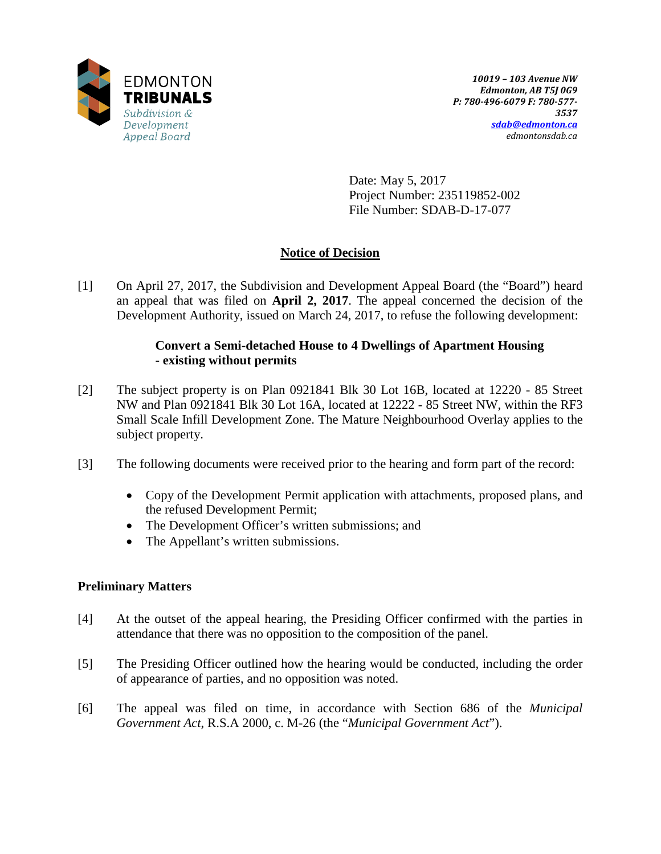

Date: May 5, 2017 Project Number: 235119852-002 File Number: SDAB-D-17-077

# **Notice of Decision**

[1] On April 27, 2017, the Subdivision and Development Appeal Board (the "Board") heard an appeal that was filed on **April 2, 2017**. The appeal concerned the decision of the Development Authority, issued on March 24, 2017, to refuse the following development:

## **Convert a Semi-detached House to 4 Dwellings of Apartment Housing - existing without permits**

- [2] The subject property is on Plan 0921841 Blk 30 Lot 16B, located at 12220 85 Street NW and Plan 0921841 Blk 30 Lot 16A, located at 12222 - 85 Street NW, within the RF3 Small Scale Infill Development Zone. The Mature Neighbourhood Overlay applies to the subject property.
- [3] The following documents were received prior to the hearing and form part of the record:
	- Copy of the Development Permit application with attachments, proposed plans, and the refused Development Permit;
	- The Development Officer's written submissions; and
	- The Appellant's written submissions.

# **Preliminary Matters**

- [4] At the outset of the appeal hearing, the Presiding Officer confirmed with the parties in attendance that there was no opposition to the composition of the panel.
- [5] The Presiding Officer outlined how the hearing would be conducted, including the order of appearance of parties, and no opposition was noted.
- [6] The appeal was filed on time, in accordance with Section 686 of the *Municipal Government Act*, R.S.A 2000, c. M-26 (the "*Municipal Government Act*").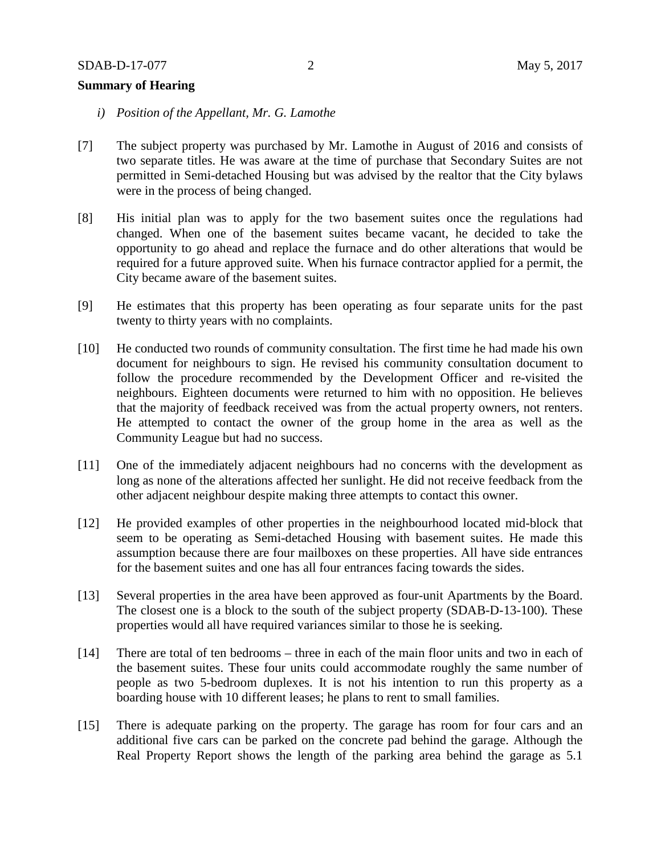### **Summary of Hearing**

- *i) Position of the Appellant, Mr. G. Lamothe*
- [7] The subject property was purchased by Mr. Lamothe in August of 2016 and consists of two separate titles. He was aware at the time of purchase that Secondary Suites are not permitted in Semi-detached Housing but was advised by the realtor that the City bylaws were in the process of being changed.
- [8] His initial plan was to apply for the two basement suites once the regulations had changed. When one of the basement suites became vacant, he decided to take the opportunity to go ahead and replace the furnace and do other alterations that would be required for a future approved suite. When his furnace contractor applied for a permit, the City became aware of the basement suites.
- [9] He estimates that this property has been operating as four separate units for the past twenty to thirty years with no complaints.
- [10] He conducted two rounds of community consultation. The first time he had made his own document for neighbours to sign. He revised his community consultation document to follow the procedure recommended by the Development Officer and re-visited the neighbours. Eighteen documents were returned to him with no opposition. He believes that the majority of feedback received was from the actual property owners, not renters. He attempted to contact the owner of the group home in the area as well as the Community League but had no success.
- [11] One of the immediately adjacent neighbours had no concerns with the development as long as none of the alterations affected her sunlight. He did not receive feedback from the other adjacent neighbour despite making three attempts to contact this owner.
- [12] He provided examples of other properties in the neighbourhood located mid-block that seem to be operating as Semi-detached Housing with basement suites. He made this assumption because there are four mailboxes on these properties. All have side entrances for the basement suites and one has all four entrances facing towards the sides.
- [13] Several properties in the area have been approved as four-unit Apartments by the Board. The closest one is a block to the south of the subject property (SDAB-D-13-100). These properties would all have required variances similar to those he is seeking.
- [14] There are total of ten bedrooms three in each of the main floor units and two in each of the basement suites. These four units could accommodate roughly the same number of people as two 5-bedroom duplexes. It is not his intention to run this property as a boarding house with 10 different leases; he plans to rent to small families.
- [15] There is adequate parking on the property. The garage has room for four cars and an additional five cars can be parked on the concrete pad behind the garage. Although the Real Property Report shows the length of the parking area behind the garage as 5.1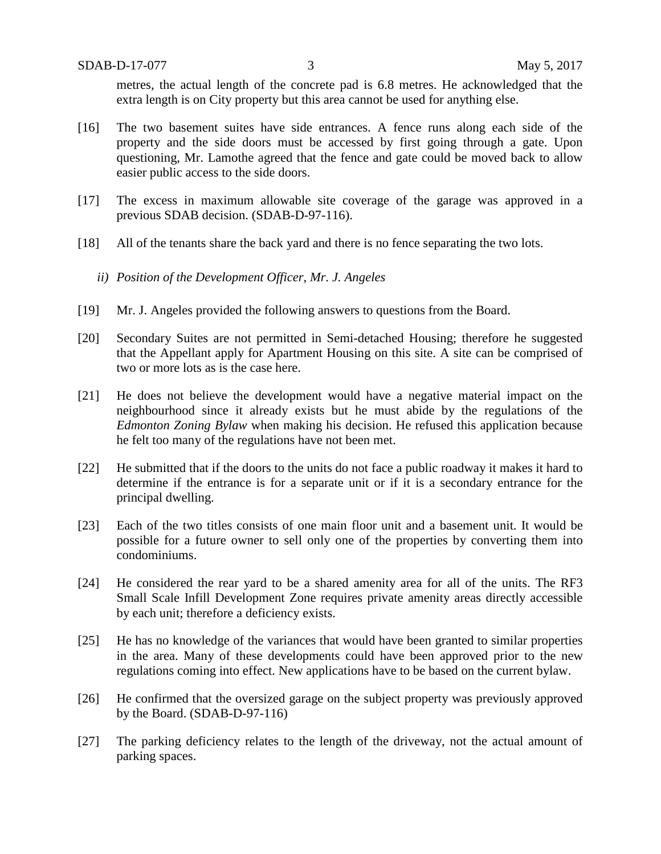metres, the actual length of the concrete pad is 6.8 metres. He acknowledged that the extra length is on City property but this area cannot be used for anything else.

- [16] The two basement suites have side entrances. A fence runs along each side of the property and the side doors must be accessed by first going through a gate. Upon questioning, Mr. Lamothe agreed that the fence and gate could be moved back to allow easier public access to the side doors.
- [17] The excess in maximum allowable site coverage of the garage was approved in a previous SDAB decision. (SDAB-D-97-116).
- [18] All of the tenants share the back yard and there is no fence separating the two lots.
	- *ii) Position of the Development Officer, Mr. J. Angeles*
- [19] Mr. J. Angeles provided the following answers to questions from the Board.
- [20] Secondary Suites are not permitted in Semi-detached Housing; therefore he suggested that the Appellant apply for Apartment Housing on this site. A site can be comprised of two or more lots as is the case here.
- [21] He does not believe the development would have a negative material impact on the neighbourhood since it already exists but he must abide by the regulations of the *Edmonton Zoning Bylaw* when making his decision. He refused this application because he felt too many of the regulations have not been met.
- [22] He submitted that if the doors to the units do not face a public roadway it makes it hard to determine if the entrance is for a separate unit or if it is a secondary entrance for the principal dwelling.
- [23] Each of the two titles consists of one main floor unit and a basement unit. It would be possible for a future owner to sell only one of the properties by converting them into condominiums.
- [24] He considered the rear yard to be a shared amenity area for all of the units. The RF3 Small Scale Infill Development Zone requires private amenity areas directly accessible by each unit; therefore a deficiency exists.
- [25] He has no knowledge of the variances that would have been granted to similar properties in the area. Many of these developments could have been approved prior to the new regulations coming into effect. New applications have to be based on the current bylaw.
- [26] He confirmed that the oversized garage on the subject property was previously approved by the Board. (SDAB-D-97-116)
- [27] The parking deficiency relates to the length of the driveway, not the actual amount of parking spaces.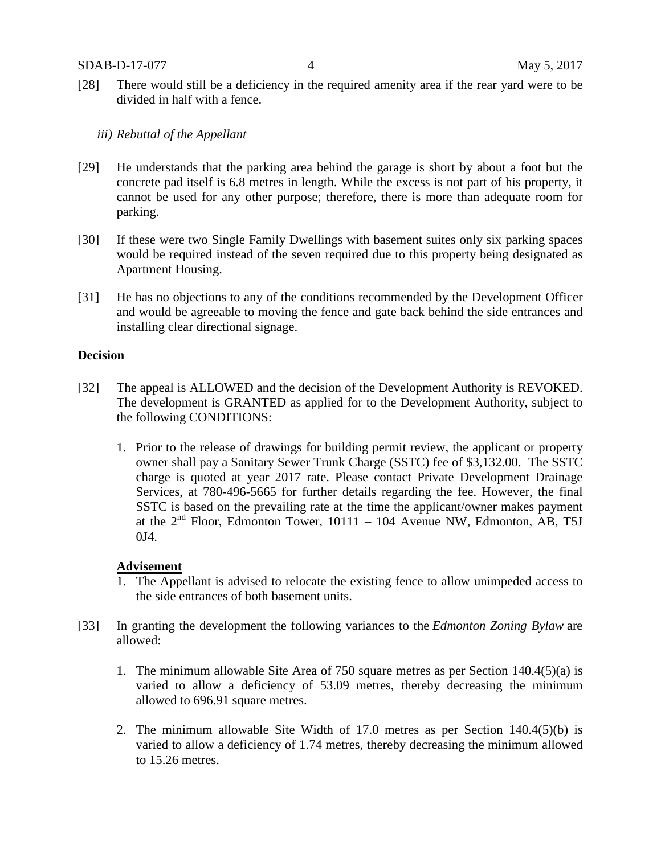- [28] There would still be a deficiency in the required amenity area if the rear yard were to be divided in half with a fence.
	- *iii) Rebuttal of the Appellant*
- [29] He understands that the parking area behind the garage is short by about a foot but the concrete pad itself is 6.8 metres in length. While the excess is not part of his property, it cannot be used for any other purpose; therefore, there is more than adequate room for parking.
- [30] If these were two Single Family Dwellings with basement suites only six parking spaces would be required instead of the seven required due to this property being designated as Apartment Housing.
- [31] He has no objections to any of the conditions recommended by the Development Officer and would be agreeable to moving the fence and gate back behind the side entrances and installing clear directional signage.

#### **Decision**

- [32] The appeal is ALLOWED and the decision of the Development Authority is REVOKED. The development is GRANTED as applied for to the Development Authority, subject to the following CONDITIONS:
	- 1. Prior to the release of drawings for building permit review, the applicant or property owner shall pay a Sanitary Sewer Trunk Charge (SSTC) fee of \$3,132.00. The SSTC charge is quoted at year 2017 rate. Please contact Private Development Drainage Services, at 780-496-5665 for further details regarding the fee. However, the final SSTC is based on the prevailing rate at the time the applicant/owner makes payment at the  $2<sup>nd</sup>$  Floor, Edmonton Tower, 10111 – 104 Avenue NW, Edmonton, AB, T5J 0J4.

#### **Advisement**

- 1. The Appellant is advised to relocate the existing fence to allow unimpeded access to the side entrances of both basement units.
- [33] In granting the development the following variances to the *Edmonton Zoning Bylaw* are allowed:
	- 1. The minimum allowable Site Area of 750 square metres as per Section 140.4(5)(a) is varied to allow a deficiency of 53.09 metres, thereby decreasing the minimum allowed to 696.91 square metres.
	- 2. The minimum allowable Site Width of 17.0 metres as per Section 140.4(5)(b) is varied to allow a deficiency of 1.74 metres, thereby decreasing the minimum allowed to 15.26 metres.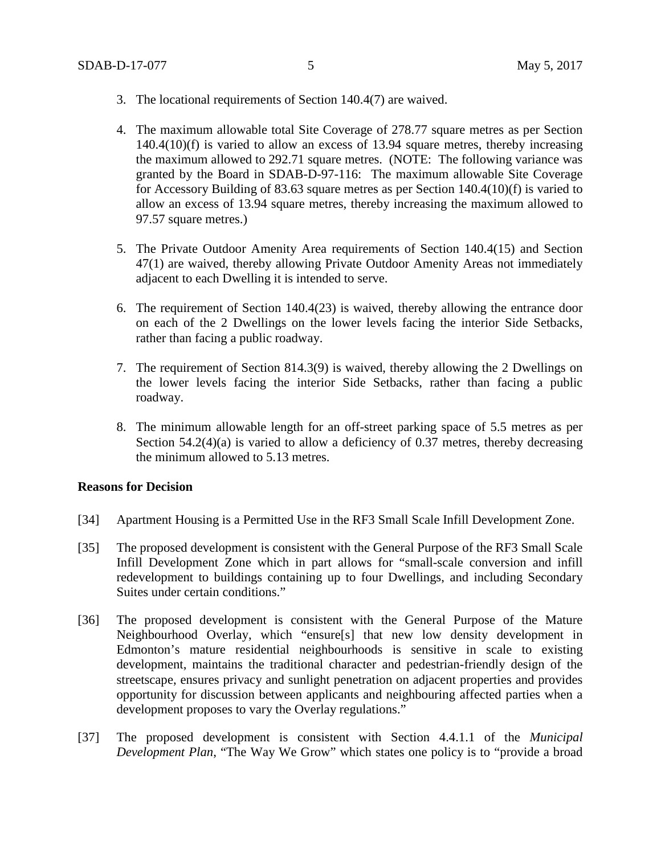- 3. The locational requirements of Section 140.4(7) are waived.
- 4. The maximum allowable total Site Coverage of 278.77 square metres as per Section 140.4(10)(f) is varied to allow an excess of 13.94 square metres, thereby increasing the maximum allowed to 292.71 square metres. (NOTE: The following variance was granted by the Board in SDAB-D-97-116: The maximum allowable Site Coverage for Accessory Building of 83.63 square metres as per Section 140.4(10)(f) is varied to allow an excess of 13.94 square metres, thereby increasing the maximum allowed to 97.57 square metres.)
- 5. The Private Outdoor Amenity Area requirements of Section 140.4(15) and Section 47(1) are waived, thereby allowing Private Outdoor Amenity Areas not immediately adjacent to each Dwelling it is intended to serve.
- 6. The requirement of Section 140.4(23) is waived, thereby allowing the entrance door on each of the 2 Dwellings on the lower levels facing the interior Side Setbacks, rather than facing a public roadway.
- 7. The requirement of Section 814.3(9) is waived, thereby allowing the 2 Dwellings on the lower levels facing the interior Side Setbacks, rather than facing a public roadway.
- 8. The minimum allowable length for an off-street parking space of 5.5 metres as per Section 54.2(4)(a) is varied to allow a deficiency of 0.37 metres, thereby decreasing the minimum allowed to 5.13 metres.

#### **Reasons for Decision**

- [34] Apartment Housing is a Permitted Use in the RF3 Small Scale Infill Development Zone.
- [35] The proposed development is consistent with the General Purpose of the RF3 Small Scale Infill Development Zone which in part allows for "small-scale conversion and infill redevelopment to buildings containing up to four Dwellings, and including Secondary Suites under certain conditions."
- [36] The proposed development is consistent with the General Purpose of the Mature Neighbourhood Overlay, which "ensure[s] that new low density development in Edmonton's mature residential neighbourhoods is sensitive in scale to existing development, maintains the traditional character and pedestrian-friendly design of the streetscape, ensures privacy and sunlight penetration on adjacent properties and provides opportunity for discussion between applicants and neighbouring affected parties when a development proposes to vary the Overlay regulations."
- [37] The proposed development is consistent with Section 4.4.1.1 of the *Municipal Development Plan*, "The Way We Grow" which states one policy is to "provide a broad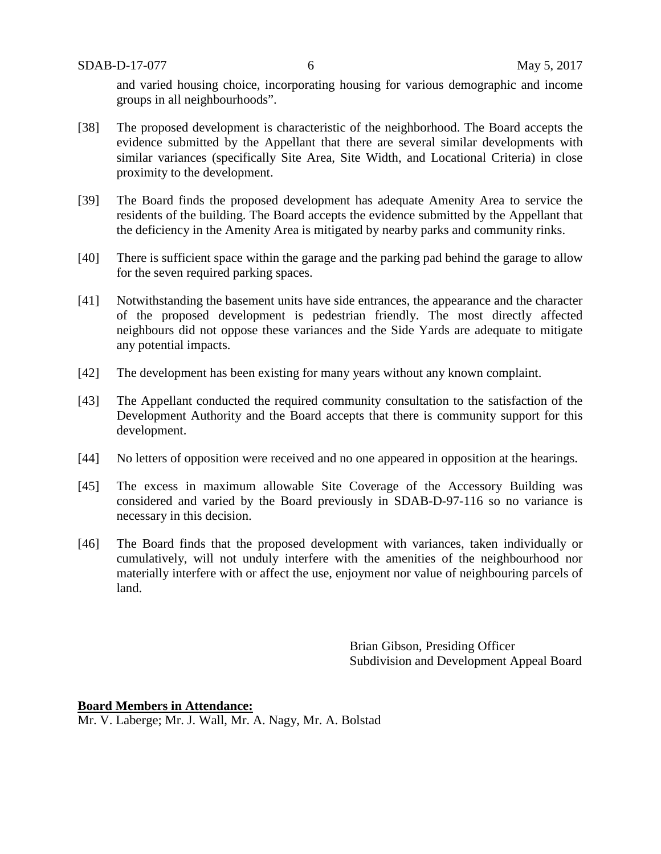SDAB-D-17-077 6 May 5, 2017

and varied housing choice, incorporating housing for various demographic and income groups in all neighbourhoods".

- [38] The proposed development is characteristic of the neighborhood. The Board accepts the evidence submitted by the Appellant that there are several similar developments with similar variances (specifically Site Area, Site Width, and Locational Criteria) in close proximity to the development.
- [39] The Board finds the proposed development has adequate Amenity Area to service the residents of the building. The Board accepts the evidence submitted by the Appellant that the deficiency in the Amenity Area is mitigated by nearby parks and community rinks.
- [40] There is sufficient space within the garage and the parking pad behind the garage to allow for the seven required parking spaces.
- [41] Notwithstanding the basement units have side entrances, the appearance and the character of the proposed development is pedestrian friendly. The most directly affected neighbours did not oppose these variances and the Side Yards are adequate to mitigate any potential impacts.
- [42] The development has been existing for many years without any known complaint.
- [43] The Appellant conducted the required community consultation to the satisfaction of the Development Authority and the Board accepts that there is community support for this development.
- [44] No letters of opposition were received and no one appeared in opposition at the hearings.
- [45] The excess in maximum allowable Site Coverage of the Accessory Building was considered and varied by the Board previously in SDAB-D-97-116 so no variance is necessary in this decision.
- [46] The Board finds that the proposed development with variances, taken individually or cumulatively, will not unduly interfere with the amenities of the neighbourhood nor materially interfere with or affect the use, enjoyment nor value of neighbouring parcels of land.

Brian Gibson, Presiding Officer Subdivision and Development Appeal Board

**Board Members in Attendance:**

Mr. V. Laberge; Mr. J. Wall, Mr. A. Nagy, Mr. A. Bolstad